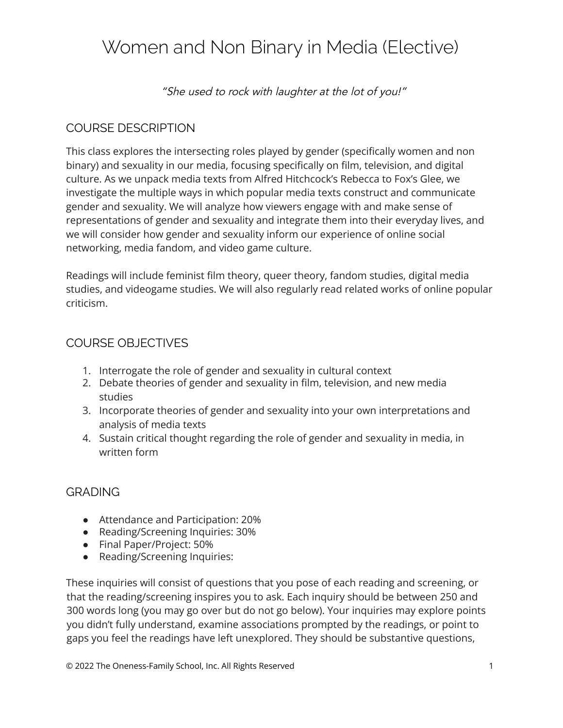# Women and Non Binary in Media (Elective)

"She used to rock with laughter at the lot of you!"

## COURSE DESCRIPTION

This class explores the intersecting roles played by gender (specifically women and non binary) and sexuality in our media, focusing specifically on film, television, and digital culture. As we unpack media texts from Alfred Hitchcock's Rebecca to Fox's Glee, we investigate the multiple ways in which popular media texts construct and communicate gender and sexuality. We will analyze how viewers engage with and make sense of representations of gender and sexuality and integrate them into their everyday lives, and we will consider how gender and sexuality inform our experience of online social networking, media fandom, and video game culture.

Readings will include feminist film theory, queer theory, fandom studies, digital media studies, and videogame studies. We will also regularly read related works of online popular criticism.

## COURSE OBJECTIVES

- 1. Interrogate the role of gender and sexuality in cultural context
- 2. Debate theories of gender and sexuality in film, television, and new media studies
- 3. Incorporate theories of gender and sexuality into your own interpretations and analysis of media texts
- 4. Sustain critical thought regarding the role of gender and sexuality in media, in written form

## GRADING

- Attendance and Participation: 20%
- Reading/Screening Inquiries: 30%
- Final Paper/Project: 50%
- Reading/Screening Inquiries:

These inquiries will consist of questions that you pose of each reading and screening, or that the reading/screening inspires you to ask. Each inquiry should be between 250 and 300 words long (you may go over but do not go below). Your inquiries may explore points you didn't fully understand, examine associations prompted by the readings, or point to gaps you feel the readings have left unexplored. They should be substantive questions,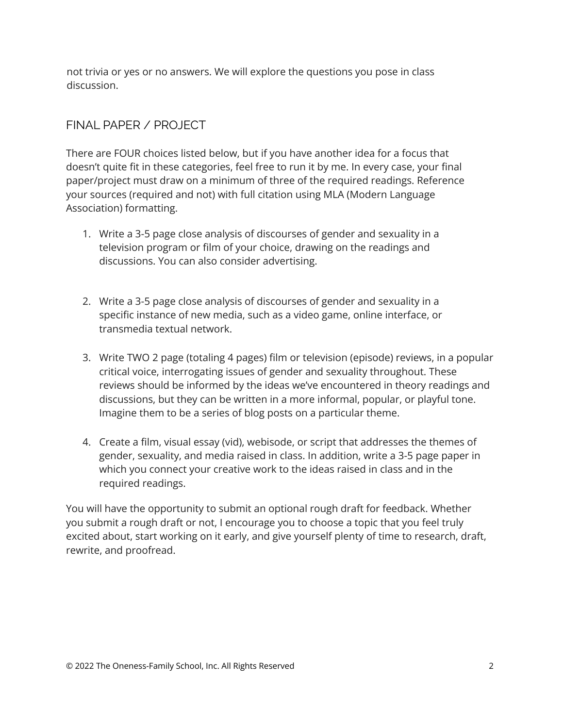not trivia or yes or no answers. We will explore the questions you pose in class discussion.

## FINAL PAPER / PROJECT

There are FOUR choices listed below, but if you have another idea for a focus that doesn't quite fit in these categories, feel free to run it by me. In every case, your final paper/project must draw on a minimum of three of the required readings. Reference your sources (required and not) with full citation using MLA (Modern Language Association) formatting.

- 1. Write a 3-5 page close analysis of discourses of gender and sexuality in a television program or film of your choice, drawing on the readings and discussions. You can also consider advertising.
- 2. Write a 3-5 page close analysis of discourses of gender and sexuality in a specific instance of new media, such as a video game, online interface, or transmedia textual network.
- 3. Write TWO 2 page (totaling 4 pages) film or television (episode) reviews, in a popular critical voice, interrogating issues of gender and sexuality throughout. These reviews should be informed by the ideas we've encountered in theory readings and discussions, but they can be written in a more informal, popular, or playful tone. Imagine them to be a series of blog posts on a particular theme.
- 4. Create a film, visual essay (vid), webisode, or script that addresses the themes of gender, sexuality, and media raised in class. In addition, write a 3-5 page paper in which you connect your creative work to the ideas raised in class and in the required readings.

You will have the opportunity to submit an optional rough draft for feedback. Whether you submit a rough draft or not, I encourage you to choose a topic that you feel truly excited about, start working on it early, and give yourself plenty of time to research, draft, rewrite, and proofread.